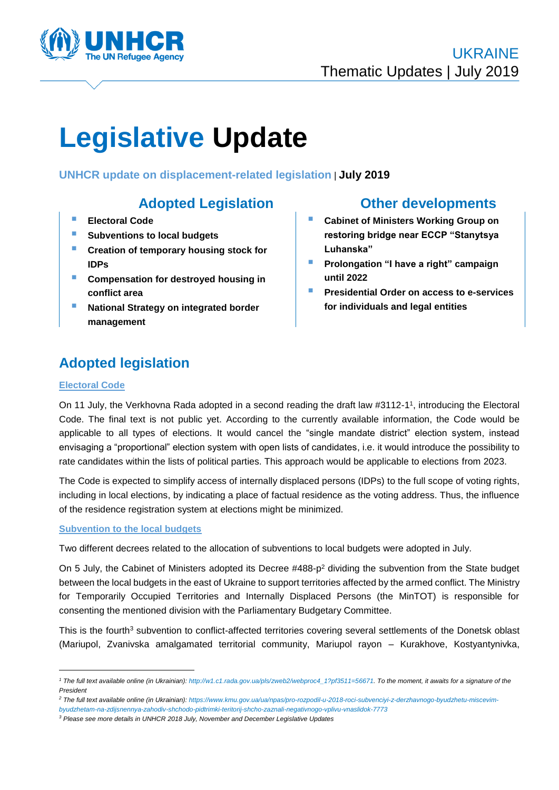

# **Legislative Update**

**UNHCR update on displacement-related legislation** | **July 2019**

- **Electoral Code**
- **F** Subventions to local budgets
- **Creation of temporary housing stock for IDPs**
- **Compensation for destroyed housing in conflict area**
- **National Strategy on integrated border management**

## **Adopted Legislation Other developments**

- **Cabinet of Ministers Working Group on restoring bridge near ECCP "Stanytsya Luhanska"**
- **Prolongation "I have a right" campaign until 2022**
- **Presidential Order on access to e-services for individuals and legal entities**

# **Adopted legislation**

#### **Electoral Code**

-

On 11 July, the Verkhovna Rada adopted in a second reading the draft law #3112-1 1 , introducing the Electoral Code. The final text is not public yet. According to the currently available information, the Code would be applicable to all types of elections. It would cancel the "single mandate district" election system, instead envisaging a "proportional" election system with open lists of candidates, i.e. it would introduce the possibility to rate candidates within the lists of political parties. This approach would be applicable to elections from 2023.

The Code is expected to simplify access of internally displaced persons (IDPs) to the full scope of voting rights, including in local elections, by indicating a place of factual residence as the voting address. Thus, the influence of the residence registration system at elections might be minimized.

#### **Subvention to the local budgets**

Two different decrees related to the allocation of subventions to local budgets were adopted in July.

On 5 July, the Cabinet of Ministers adopted its Decree #488-p<sup>2</sup> dividing the subvention from the State budget between the local budgets in the east of Ukraine to support territories affected by the armed conflict. The Ministry for Temporarily Occupied Territories and Internally Displaced Persons (the MinTOT) is responsible for consenting the mentioned division with the Parliamentary Budgetary Committee.

This is the fourth<sup>3</sup> subvention to conflict-affected territories covering several settlements of the Donetsk oblast (Mariupol, Zvanivska amalgamated territorial community, Mariupol rayon – Kurakhove, Kostyantynivka,

*<sup>1</sup> The full text available online (in Ukrainian): [http://w1.c1.rada.gov.ua/pls/zweb2/webproc4\\_1?pf3511=56671.](http://w1.c1.rada.gov.ua/pls/zweb2/webproc4_1?pf3511=56671) To the moment, it awaits for a signature of the President* 

*<sup>2</sup> The full text available online (in Ukrainian): https://www.kmu.gov.ua/ua/npas/pro-rozpodil-u-2018-roci-subvenciyi-z-derzhavnogo-byudzhetu-miscevim-*

*byudzhetam-na-zdijsnennya-zahodiv-shchodo-pidtrimki-teritorij-shcho-zaznali-negativnogo-vplivu-vnaslidok-7773*

*<sup>3</sup> Please see more details in UNHCR 2018 July, November and December Legislative Updates*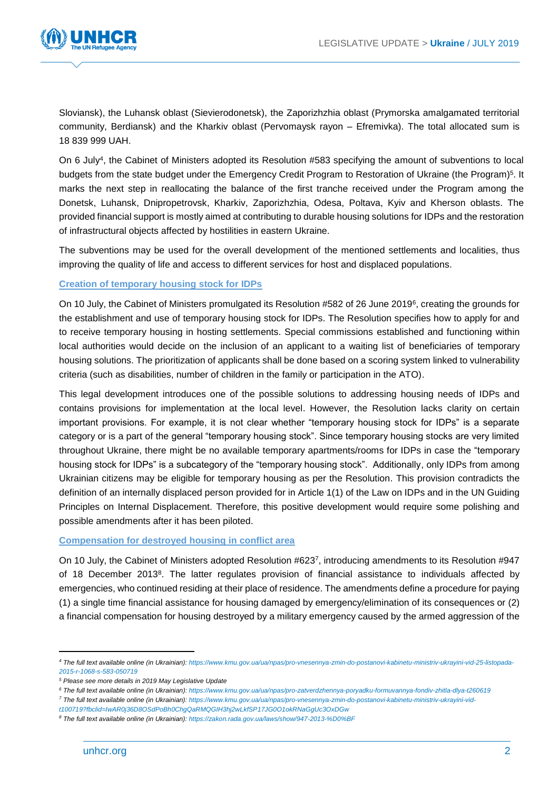

Sloviansk), the Luhansk oblast (Sievierodonetsk), the Zaporizhzhia oblast (Prymorska amalgamated territorial community, Berdiansk) and the Kharkiv oblast (Pervomaysk rayon – Efremivka). The total allocated sum is 18 839 999 UAH.

On 6 July<sup>4</sup>, the Cabinet of Ministers adopted its Resolution #583 specifying the amount of subventions to local budgets from the state budget under the Emergency Credit Program to Restoration of Ukraine (the Program)<sup>5</sup>. It marks the next step in reallocating the balance of the first tranche received under the Program among the Donetsk, Luhansk, Dnipropetrovsk, Kharkiv, Zaporizhzhia, Odesa, Poltava, Kyiv and Kherson oblasts. The provided financial support is mostly aimed at contributing to durable housing solutions for IDPs and the restoration of infrastructural objects affected by hostilities in eastern Ukraine.

The subventions may be used for the overall development of the mentioned settlements and localities, thus improving the quality of life and access to different services for host and displaced populations.

#### **Creation of temporary housing stock for IDPs**

On 10 July, the Cabinet of Ministers promulgated its Resolution #582 of 26 June 2019<sup>6</sup>, creating the grounds for the establishment and use of temporary housing stock for IDPs. The Resolution specifies how to apply for and to receive temporary housing in hosting settlements. Special commissions established and functioning within local authorities would decide on the inclusion of an applicant to a waiting list of beneficiaries of temporary housing solutions. The prioritization of applicants shall be done based on a scoring system linked to vulnerability criteria (such as disabilities, number of children in the family or participation in the ATO).

This legal development introduces one of the possible solutions to addressing housing needs of IDPs and contains provisions for implementation at the local level. However, the Resolution lacks clarity on certain important provisions. For example, it is not clear whether "temporary housing stock for IDPs" is a separate category or is a part of the general "temporary housing stock". Since temporary housing stocks are very limited throughout Ukraine, there might be no available temporary apartments/rooms for IDPs in case the "temporary housing stock for IDPs" is a subcategory of the "temporary housing stock". Additionally, only IDPs from among Ukrainian citizens may be eligible for temporary housing as per the Resolution. This provision contradicts the definition of an internally displaced person provided for in Article 1(1) of the Law on IDPs and in the UN Guiding Principles on Internal Displacement. Therefore, this positive development would require some polishing and possible amendments after it has been piloted.

#### **Compensation for destroyed housing in conflict area**

On 10 July, the Cabinet of Ministers adopted Resolution #623<sup>7</sup> , introducing amendments to its Resolution #947 of 18 December 2013<sup>8</sup>. The latter regulates provision of financial assistance to individuals affected by emergencies, who continued residing at their place of residence. The amendments define a procedure for paying (1) a single time financial assistance for housing damaged by emergency/elimination of its consequences or (2) a financial compensation for housing destroyed by a military emergency caused by the armed aggression of the

1

*<sup>4</sup> The full text available online (in Ukrainian): [https://www.kmu.gov.ua/ua/npas/pro-vnesennya-zmin-do-postanovi-kabinetu-ministriv-ukrayini-vid-25-listopada-](https://www.kmu.gov.ua/ua/npas/pro-vnesennya-zmin-do-postanovi-kabinetu-ministriv-ukrayini-vid-25-listopada-2015-r-1068-s-583-050719)[2015-r-1068-s-583-050719](https://www.kmu.gov.ua/ua/npas/pro-vnesennya-zmin-do-postanovi-kabinetu-ministriv-ukrayini-vid-25-listopada-2015-r-1068-s-583-050719)*

*<sup>5</sup> Please see more details in 2019 May Legislative Update* 

*<sup>6</sup> The full text available online (in Ukrainian): <https://www.kmu.gov.ua/ua/npas/pro-zatverdzhennya-poryadku-formuvannya-fondiv-zhitla-dlya-t260619>*

*<sup>7</sup> The full text available online (in Ukrainian)[: https://www.kmu.gov.ua/ua/npas/pro-vnesennya-zmin-do-postanovi-kabinetu-ministriv-ukrayini-vid-](https://www.kmu.gov.ua/ua/npas/pro-vnesennya-zmin-do-postanovi-kabinetu-ministriv-ukrayini-vid-t100719?fbclid=IwAR0j36D8OSdPoBh0ChgQaRMQGIH3hj2wLkfSP17JG0O1okRNaGgUc3OxDGw)*

*[t100719?fbclid=IwAR0j36D8OSdPoBh0ChgQaRMQGIH3hj2wLkfSP17JG0O1okRNaGgUc3OxDGw](https://www.kmu.gov.ua/ua/npas/pro-vnesennya-zmin-do-postanovi-kabinetu-ministriv-ukrayini-vid-t100719?fbclid=IwAR0j36D8OSdPoBh0ChgQaRMQGIH3hj2wLkfSP17JG0O1okRNaGgUc3OxDGw)*

*<sup>8</sup> The full text available online (in Ukrainian): <https://zakon.rada.gov.ua/laws/show/947-2013-%D0%BF>*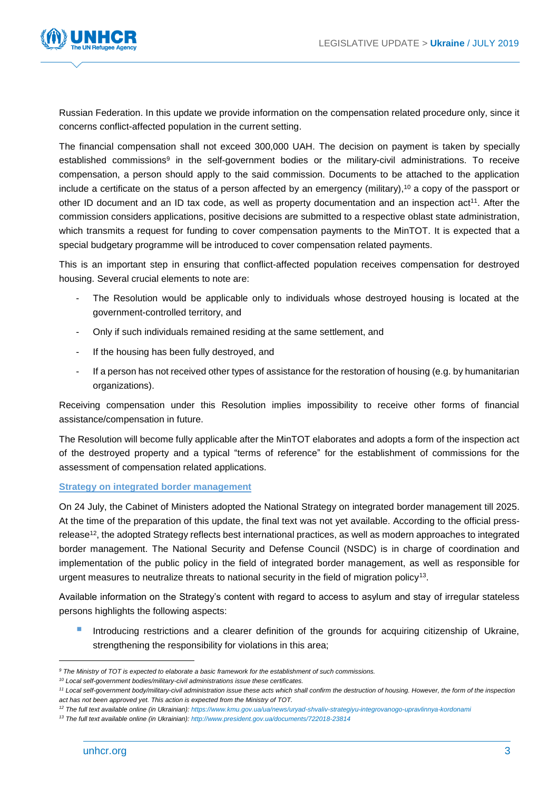

Russian Federation. In this update we provide information on the compensation related procedure only, since it concerns conflict-affected population in the current setting.

The financial compensation shall not exceed 300,000 UAH. The decision on payment is taken by specially established commissions<sup>9</sup> in the self-government bodies or the military-civil administrations. To receive compensation, a person should apply to the said commission. Documents to be attached to the application include a certificate on the status of a person affected by an emergency (military), <sup>10</sup> a copy of the passport or other ID document and an ID tax code, as well as property documentation and an inspection act<sup>11</sup>. After the commission considers applications, positive decisions are submitted to a respective oblast state administration, which transmits a request for funding to cover compensation payments to the MinTOT. It is expected that a special budgetary programme will be introduced to cover compensation related payments.

This is an important step in ensuring that conflict-affected population receives compensation for destroyed housing. Several crucial elements to note are:

- The Resolution would be applicable only to individuals whose destroyed housing is located at the government-controlled territory, and
- Only if such individuals remained residing at the same settlement, and
- If the housing has been fully destroyed, and
- If a person has not received other types of assistance for the restoration of housing (e.g. by humanitarian organizations).

Receiving compensation under this Resolution implies impossibility to receive other forms of financial assistance/compensation in future.

The Resolution will become fully applicable after the MinTOT elaborates and adopts a form of the inspection act of the destroyed property and a typical "terms of reference" for the establishment of commissions for the assessment of compensation related applications.

#### **Strategy on integrated border management**

On 24 July, the Cabinet of Ministers adopted the National Strategy on integrated border management till 2025. At the time of the preparation of this update, the final text was not yet available. According to the official pressrelease<sup>12</sup>, the adopted Strategy reflects best international practices, as well as modern approaches to integrated border management. The National Security and Defense Council (NSDC) is in charge of coordination and implementation of the public policy in the field of integrated border management, as well as responsible for urgent measures to neutralize threats to national security in the field of migration policy<sup>13</sup>.

Available information on the Strategy's content with regard to access to asylum and stay of irregular stateless persons highlights the following aspects:

 Introducing restrictions and a clearer definition of the grounds for acquiring citizenship of Ukraine, strengthening the responsibility for violations in this area;

-

*<sup>9</sup> The Ministry of TOT is expected to elaborate a basic framework for the establishment of such commissions.*

*<sup>10</sup> Local self-government bodies/military-civil administrations issue these certificates.*

*<sup>11</sup> Local self-government body/military-civil administration issue these acts which shall confirm the destruction of housing. However, the form of the inspection act has not been approved yet. This action is expected from the Ministry of TOT.*

*<sup>12</sup> The full text available online (in Ukrainian):<https://www.kmu.gov.ua/ua/news/uryad-shvaliv-strategiyu-integrovanogo-upravlinnya-kordonami>*

*<sup>13</sup> The full text available online (in Ukrainian): <http://www.president.gov.ua/documents/722018-23814>*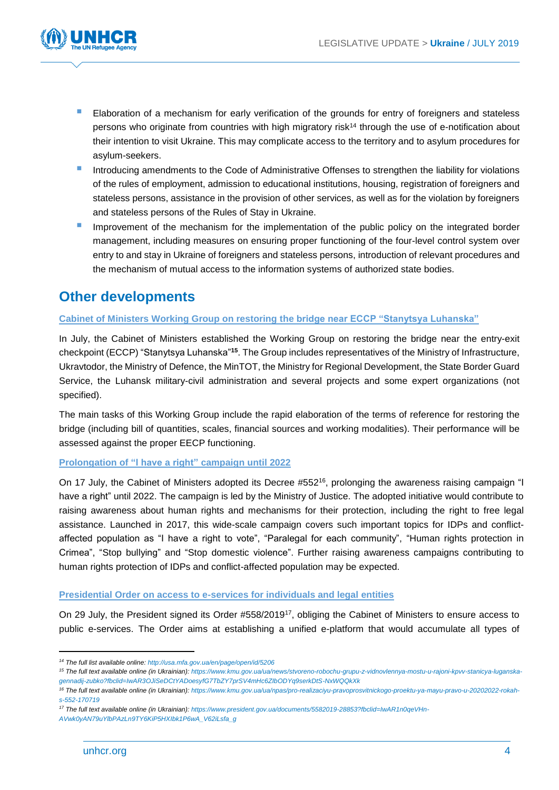

- Elaboration of a mechanism for early verification of the grounds for entry of foreigners and stateless persons who originate from countries with high migratory risk<sup>14</sup> through the use of e-notification about their intention to visit Ukraine. This may complicate access to the territory and to asylum procedures for asylum-seekers.
- Introducing amendments to the Code of Administrative Offenses to strengthen the liability for violations of the rules of employment, admission to educational institutions, housing, registration of foreigners and stateless persons, assistance in the provision of other services, as well as for the violation by foreigners and stateless persons of the Rules of Stay in Ukraine.
- Improvement of the mechanism for the implementation of the public policy on the integrated border management, including measures on ensuring proper functioning of the four-level control system over entry to and stay in Ukraine of foreigners and stateless persons, introduction of relevant procedures and the mechanism of mutual access to the information systems of authorized state bodies.

# **Other developments**

#### **Cabinet of Ministers Working Group on restoring the bridge near ECCP "Stanytsya Luhanska"**

In July, the Cabinet of Ministers established the Working Group on restoring the bridge near the entry-exit checkpoint (ECCP) "Stanytsya Luhanska"**<sup>15</sup>**. The Group includes representatives of the Ministry of Infrastructure, Ukravtodor, the Ministry of Defence, the MinTOT, the Ministry for Regional Development, the State Border Guard Service, the Luhansk military-civil administration and several projects and some expert organizations (not specified).

The main tasks of this Working Group include the rapid elaboration of the terms of reference for restoring the bridge (including bill of quantities, scales, financial sources and working modalities). Their performance will be assessed against the proper EECP functioning.

### **Prolongation of "I have a right" campaign until 2022**

On 17 July, the Cabinet of Ministers adopted its Decree #552<sup>16</sup>, prolonging the awareness raising campaign "I have a right" until 2022. The campaign is led by the Ministry of Justice. The adopted initiative would contribute to raising awareness about human rights and mechanisms for their protection, including the right to free legal assistance. Launched in 2017, this wide-scale campaign covers such important topics for IDPs and conflictaffected population as "I have a right to vote", "Paralegal for each community", "Human rights protection in Crimea", "Stop bullying" and "Stop domestic violence". Further raising awareness campaigns contributing to human rights protection of IDPs and conflict-affected population may be expected.

#### **Presidential Order on access to e-services for individuals and legal entities**

On 29 July, the President signed its Order #558/2019<sup>17</sup>, obliging the Cabinet of Ministers to ensure access to public e-services. The Order aims at establishing a unified e-platform that would accumulate all types of

1

*<sup>14</sup> The full list available online[: http://usa.mfa.gov.ua/en/page/open/id/5206](http://usa.mfa.gov.ua/en/page/open/id/5206)*

*<sup>15</sup> The full text available online (in Ukrainian): [https://www.kmu.gov.ua/ua/news/stvoreno-robochu-grupu-z-vidnovlennya-mostu-u-rajoni-kpvv-stanicya-luganska](https://www.kmu.gov.ua/ua/news/stvoreno-robochu-grupu-z-vidnovlennya-mostu-u-rajoni-kpvv-stanicya-luganska-gennadij-zubko?fbclid=IwAR3OJiSeDCtYADoesyfG7TbZY7prSV4mHc6ZIbODYq9serkDtS-NxWQQkXk)[gennadij-zubko?fbclid=IwAR3OJiSeDCtYADoesyfG7TbZY7prSV4mHc6ZIbODYq9serkDtS-NxWQQkXk](https://www.kmu.gov.ua/ua/news/stvoreno-robochu-grupu-z-vidnovlennya-mostu-u-rajoni-kpvv-stanicya-luganska-gennadij-zubko?fbclid=IwAR3OJiSeDCtYADoesyfG7TbZY7prSV4mHc6ZIbODYq9serkDtS-NxWQQkXk)*

*<sup>16</sup> The full text available online (in Ukrainian): [https://www.kmu.gov.ua/ua/npas/pro-realizaciyu-pravoprosvitnickogo-proektu-ya-mayu-pravo-u-20202022-rokah](https://www.kmu.gov.ua/ua/npas/pro-realizaciyu-pravoprosvitnickogo-proektu-ya-mayu-pravo-u-20202022-rokah-s-552-170719)[s-552-170719](https://www.kmu.gov.ua/ua/npas/pro-realizaciyu-pravoprosvitnickogo-proektu-ya-mayu-pravo-u-20202022-rokah-s-552-170719)*

*<sup>17</sup> The full text available online (in Ukrainian): [https://www.president.gov.ua/documents/5582019-28853?fbclid=IwAR1n0qeVHn-](https://www.president.gov.ua/documents/5582019-28853?fbclid=IwAR1n0qeVHn-AVwk0yAN79uYlbPAzLn9TY6KiP5HXIbk1P6wA_V62iLsfa_g)*

*[AVwk0yAN79uYlbPAzLn9TY6KiP5HXIbk1P6wA\\_V62iLsfa\\_g](https://www.president.gov.ua/documents/5582019-28853?fbclid=IwAR1n0qeVHn-AVwk0yAN79uYlbPAzLn9TY6KiP5HXIbk1P6wA_V62iLsfa_g)*